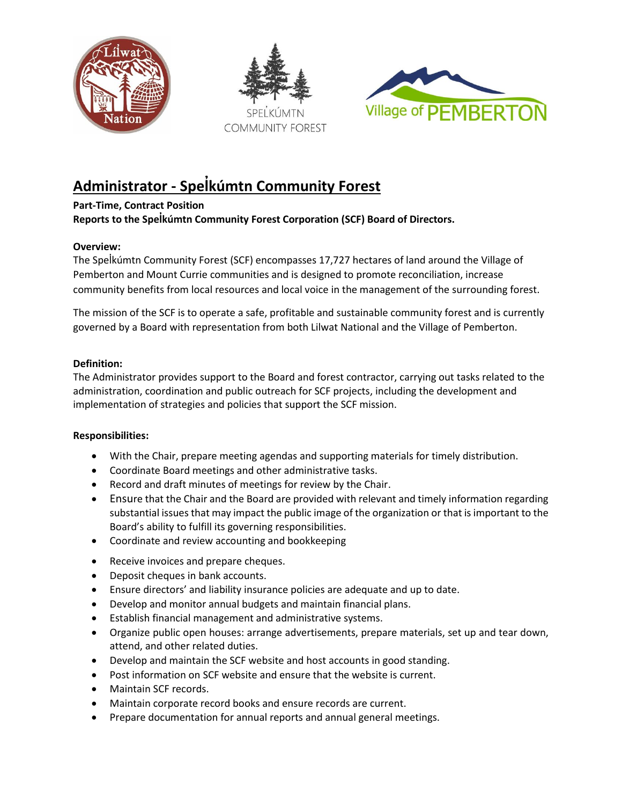





# **Administrator - Spelk̓ úmtn Community Forest**

# **Part-Time, Contract Position**

**Reports to the Spelk̓ úmtn Community Forest Corporation (SCF) Board of Directors.**

# **Overview:**

The Spelkúmtn Community Forest (SCF) encompasses 17,727 hectares of land around the Village of Pemberton and Mount Currie communities and is designed to promote reconciliation, increase community benefits from local resources and local voice in the management of the surrounding forest.

The mission of the SCF is to operate a safe, profitable and sustainable community forest and is currently governed by a Board with representation from both Lilwat National and the Village of Pemberton.

## **Definition:**

The Administrator provides support to the Board and forest contractor, carrying out tasks related to the administration, coordination and public outreach for SCF projects, including the development and implementation of strategies and policies that support the SCF mission.

### **Responsibilities:**

- With the Chair, prepare meeting agendas and supporting materials for timely distribution.
- Coordinate Board meetings and other administrative tasks.
- Record and draft minutes of meetings for review by the Chair.
- Ensure that the Chair and the Board are provided with relevant and timely information regarding substantial issues that may impact the public image of the organization or that is important to the Board's ability to fulfill its governing responsibilities.
- Coordinate and review accounting and bookkeeping
- Receive invoices and prepare cheques.
- Deposit cheques in bank accounts.
- Ensure directors' and liability insurance policies are adequate and up to date.
- Develop and monitor annual budgets and maintain financial plans.
- Establish financial management and administrative systems.
- Organize public open houses: arrange advertisements, prepare materials, set up and tear down, attend, and other related duties.
- Develop and maintain the SCF website and host accounts in good standing.
- Post information on SCF website and ensure that the website is current.
- Maintain SCF records.
- Maintain corporate record books and ensure records are current.
- Prepare documentation for annual reports and annual general meetings.